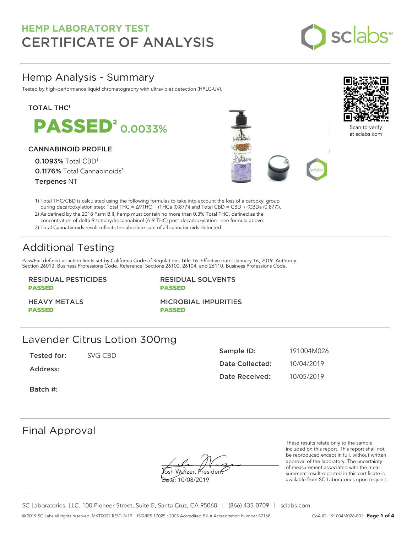

## Hemp Analysis - Summary

Tested by high-performance liquid chromatography with ultraviolet detection (HPLC-UV).

#### **TOTAL THC1**

**PASSED<sup>2</sup> 0.0033%** 

#### CANNABINOID PROFILE

0.1093% Total CBD<sup>1</sup> 0.1176% Total Cannabinoids<sup>3</sup> Terpenes NT





Scan to verify at sclabs.com

1) Total THC/CBD is calculated using the following formulas to take into account the loss of a carboxyl group during decarboxylation step: Total THC = ∆9THC + (THCa (0.877)) and Total CBD = CBD + (CBDa (0.877)).

2) As defined by the 2018 Farm Bill, hemp must contain no more than 0.3% Total THC, defined as the concentration of delta-9 tetrahydrocannabinol (Δ-9-THC) post-decarboxylation - see formula above.

3) Total Cannabinoids result reflects the absolute sum of all cannabinoids detected.

# Additional Testing

Pass/Fail defined at action limits set by California Code of Regulations Title 16. Effective date: January 16, 2019. Authority: Section 26013, Business Professions Code. Reference: Sections 26100, 26104, and 26110, Business Professions Code.

### RESIDUAL PESTICIDES PASSED

RESIDUAL SOLVENTS PASSED

HEAVY METALS PASSED

MICROBIAL IMPURITIES PASSED

### Lavender Citrus Lotion 300mg

Tested for: SVG CBD

Address:

Sample ID: 191004M026 Date Collected: 10/04/2019 Date Received: 10/05/2019

Batch #:

# Final Approval

osh Wurzer, Presiden

Date: 10/08/2019

These results relate only to the sample included on this report. This report shall not be reproduced except in full, without written approval of the laboratory. The uncertainty of measurement associated with the measurement result reported in this certificate is available from SC Laboratories upon request.

SC Laboratories, LLC. 100 Pioneer Street, Suite E, Santa Cruz, CA 95060 | (866) 435-0709 | sclabs.com © 2019 SC Labs all rights reserved. MKT0002 REV1 8/19 ISO/IES 17025 : 2005 Accredited PJLA Accreditation Number 87168 CoA ID: 191004M026-001 **Page 1 of 4**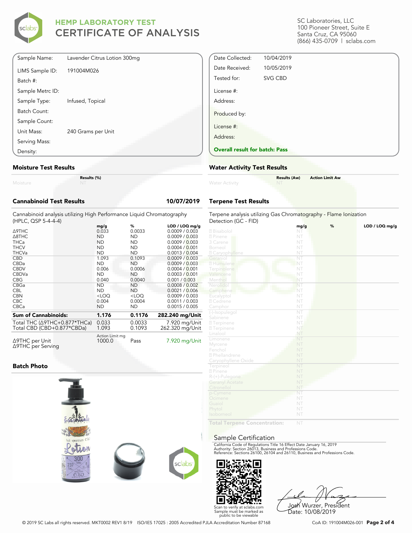

| Sample Name:     | Lavender Citrus Lotion 300mg |
|------------------|------------------------------|
| LIMS Sample ID:  | 191004M026                   |
| Batch #:         |                              |
| Sample Metrc ID: |                              |
| Sample Type:     | Infused, Topical             |
| Batch Count:     |                              |
| Sample Count:    |                              |
| Unit Mass:       | 240 Grams per Unit           |
| Serving Mass:    |                              |
| Density:         |                              |

#### **Moisture Test Results**

Moisture

**Results (%)**

#### **Cannabinoid Test Results 10/07/2019**

Cannabinoid analysis utilizing High Performance Liquid Chromatography (HPLC, QSP 5-4-4-4)

|                                                | mg/g                      | %         | $LOD / LOQ$ mg/g |
|------------------------------------------------|---------------------------|-----------|------------------|
| Δ9THC                                          | 0.033                     | 0.0033    | 0.0009 / 0.003   |
| $\triangle$ 8THC                               | <b>ND</b>                 | <b>ND</b> | 0.0009 / 0.003   |
| <b>THCa</b>                                    | <b>ND</b>                 | ND.       | 0.0009 / 0.003   |
| <b>THCV</b>                                    | <b>ND</b>                 | ND.       | 0.0004 / 0.001   |
| <b>THCVa</b>                                   | <b>ND</b>                 | <b>ND</b> | 0.0013 / 0.004   |
| <b>CBD</b>                                     | 1.093                     | 0.1093    | 0.0009 / 0.003   |
| <b>CBDa</b>                                    | <b>ND</b>                 | <b>ND</b> | 0.0009 / 0.003   |
| <b>CBDV</b>                                    | 0.006                     | 0.0006    | 0.0004 / 0.001   |
| <b>CBDVa</b>                                   | <b>ND</b>                 | ND.       | 0.0003 / 0.001   |
| <b>CBG</b>                                     | 0.040                     | 0.0040    | 0.001 / 0.003    |
| CBGa                                           | <b>ND</b>                 | <b>ND</b> | 0.0008 / 0.002   |
| <b>CBL</b>                                     | <b>ND</b>                 | ND.       | 0.0021 / 0.006   |
| <b>CBN</b>                                     | $<$ LOQ                   | $<$ LOQ   | 0.0009 / 0.003   |
| <b>CBC</b>                                     | 0.004                     | 0.0004    | 0.0011 / 0.003   |
| <b>CBCa</b>                                    | <b>ND</b>                 | ND.       | 0.0015 / 0.005   |
| <b>Sum of Cannabinoids:</b>                    | 1.176                     | 0.1176    | 282.240 mg/Unit  |
| Total THC (Δ9THC+0.877*THCa)                   | 0.033                     | 0.0033    | 7.920 mg/Unit    |
| Total CBD (CBD+0.877*CBDa)                     | 1.093                     | 0.1093    | 262.320 mg/Unit  |
|                                                |                           |           |                  |
| $\triangle$ 9THC per Unit<br>∆9THC per Serving | Action Limit mg<br>1000.0 | Pass      | 7.920 mg/Unit    |

#### **Batch Photo**



SC Laboratories, LLC 100 Pioneer Street, Suite E Santa Cruz, CA 95060 (866) 435-0709 | sclabs.com

| Date Collected:                       | 10/04/2019     |  |  |
|---------------------------------------|----------------|--|--|
| Date Received:                        | 10/05/2019     |  |  |
| Tested for:                           | <b>SVG CBD</b> |  |  |
| License #:                            |                |  |  |
| Address:                              |                |  |  |
| Produced by:                          |                |  |  |
| License #:                            |                |  |  |
| Address:                              |                |  |  |
| <b>Overall result for batch: Pass</b> |                |  |  |

#### **Water Activity Test Results**

| Water Activity | <b>Results (Aw)</b><br><b>Contract Contract Contract</b> | <b>Action Limit Aw</b> |
|----------------|----------------------------------------------------------|------------------------|
|                |                                                          |                        |

#### **Terpene Test Results**

| Terpene analysis utilizing Gas Chromatography - Flame Ionization |                        |   |                |  |  |
|------------------------------------------------------------------|------------------------|---|----------------|--|--|
| Detection (GC - FID)                                             |                        |   |                |  |  |
| 2 Bisabolol                                                      | mg/g<br>NT             | % | LOD / LOQ mg/g |  |  |
| 2 Pinene                                                         | NT                     |   |                |  |  |
| 3 Carene                                                         | NT                     |   |                |  |  |
| Borneol                                                          | NT                     |   |                |  |  |
|                                                                  | NT                     |   |                |  |  |
| <b>Z</b> Caryophyllene<br>Geraniol                               | $\overline{\text{NT}}$ |   |                |  |  |
| 2 Humulene                                                       | NT                     |   |                |  |  |
|                                                                  | NT                     |   |                |  |  |
| Terpinolene<br>Valencene                                         | NT                     |   |                |  |  |
| Menthol                                                          | NT                     |   |                |  |  |
| Nerolidol                                                        | NT                     |   |                |  |  |
| Camphene                                                         | NT                     |   |                |  |  |
| Eucalyptol                                                       | NT                     |   |                |  |  |
| 2 Cedrene                                                        | NT                     |   |                |  |  |
| Camphor                                                          | NT                     |   |                |  |  |
| (-)-Isopulegol                                                   | $\overline{\text{NT}}$ |   |                |  |  |
| Sabinene                                                         | NT                     |   |                |  |  |
| <b>27</b> Terpinene                                              | NT.                    |   |                |  |  |
| <b>27</b> Terpinene                                              | NT                     |   |                |  |  |
| Linalool                                                         | NT                     |   |                |  |  |
| Limonene                                                         | NT                     |   |                |  |  |
| Myrcene                                                          | NT                     |   |                |  |  |
| Fenchol                                                          | NT                     |   |                |  |  |
| <sup>2</sup> Phellandrene                                        | NT                     |   |                |  |  |
| Caryophyllene Oxide                                              | NT                     |   |                |  |  |
| Terpineol                                                        | NT                     |   |                |  |  |
| 2 Pinene                                                         | NT                     |   |                |  |  |
| $R-(+)$ -Pulegone                                                | NT                     |   |                |  |  |
| <b>Geranyl Acetate</b>                                           | NT                     |   |                |  |  |
| Citronellol                                                      | NT                     |   |                |  |  |
| p-Cymene                                                         | NT                     |   |                |  |  |
| Ocimene                                                          | NT                     |   |                |  |  |
| Guaiol                                                           | NT                     |   |                |  |  |
| Phytol                                                           | NT                     |   |                |  |  |
| Isoborneol                                                       | NT                     |   |                |  |  |
| <b>Contact The</b>                                               |                        |   |                |  |  |

**Total Terpene Concentration:**

#### Sample Certification

California Code of Regulations Title 16 Effect Date January 16, 2019<br>Authority: Section 26013, Business and Professions Code.<br>Reference: Sections 26100, 26104 and 26110, Business and Professions Code.



Josh Wurzer, President Date: 10/08/2019

© 2019 SC Labs all rights reserved. MKT0002 REV1 8/19 ISO/IES 17025 : 2005 Accredited PJLA Accreditation Number 87168 CoA ID: 191004M026-001 **Page 2 of 4**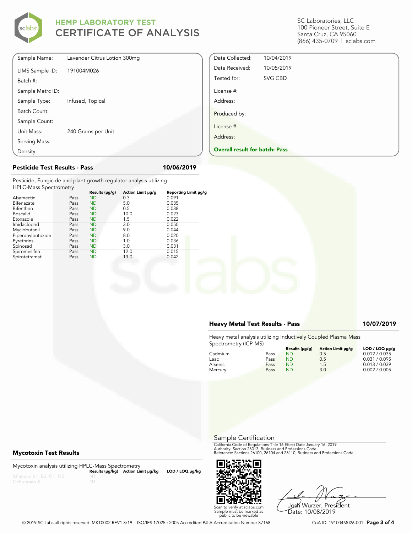

SC Laboratories, LLC 100 Pioneer Street, Suite E Santa Cruz, CA 95060 (866) 435-0709 | sclabs.com

| Sample Name:     | Lavender Citrus Lotion 300mg |
|------------------|------------------------------|
| LIMS Sample ID:  | 191004M026                   |
| Batch #:         |                              |
| Sample Metrc ID: |                              |
| Sample Type:     | Infused, Topical             |
| Batch Count:     |                              |
| Sample Count:    |                              |
| Unit Mass:       | 240 Grams per Unit           |
| Serving Mass:    |                              |
| Density:         |                              |

#### **Pesticide Test Results - Pass 10/06/2019**

Pesticide, Fungicide and plant growth regulator analysis utilizing HPLC-Mass Spectrometry

|                   |      | Results (µg/g) | Action Limit µg/g | Reporting Limit µg/g |
|-------------------|------|----------------|-------------------|----------------------|
| Abamectin         | Pass | <b>ND</b>      | 0.3               | 0.091                |
| Bifenazate        | Pass | <b>ND</b>      | 5.0               | 0.035                |
| Bifenthrin        | Pass | <b>ND</b>      | 0.5               | 0.038                |
| <b>Boscalid</b>   | Pass | <b>ND</b>      | 10.0              | 0.023                |
| Etoxazole         | Pass | <b>ND</b>      | 1.5               | 0.022                |
| Imidacloprid      | Pass | <b>ND</b>      | 3.0               | 0.050                |
| Myclobutanil      | Pass | <b>ND</b>      | 9.0               | 0.044                |
| Piperonylbutoxide | Pass | <b>ND</b>      | 8.0               | 0.020                |
| Pyrethrins        | Pass | <b>ND</b>      | 1.0               | 0.036                |
| Spinosad          | Pass | <b>ND</b>      | 3.0               | 0.031                |
| Spiromesifen      | Pass | <b>ND</b>      | 12.0              | 0.015                |
| Spirotetramat     | Pass | <b>ND</b>      | 13.0              | 0.042                |
|                   |      |                |                   |                      |

#### **Heavy Metal Test Results - Pass 10/07/2019**

Date Collected: 10/04/2019 Date Received: 10/05/2019 Tested for: SVG CBD

**Overall result for batch: Pass**

License #: Address:

Produced by: License #: Address:

Heavy metal analysis utilizing Inductively Coupled Plasma Mass Spectrometry (ICP-MS)

|         |      | Results (µq/q) | Action Limit µq/q | $LOD / LOQ \mu q/q$ |
|---------|------|----------------|-------------------|---------------------|
| Cadmium | Pass | <b>ND</b>      | 0.5               | 0.012 / 0.035       |
| Lead    | Pass | ND             | 0.5               | 0.031 / 0.095       |
| Arsenic | Pass | ND             | 1.5               | 0.013 / 0.039       |
| Mercury | Pass | ND             | 3.0               | 0.002 / 0.005       |

Sample Certification

California Code of Regulations Title 16 Effect Date January 16, 2019<br>Authority: Section 26013, Business and Professions Code.<br>Reference: Sections 26100, 26104 and 26110, Business and Professions Code.

Josh Wurzer, President Date: 10/08/2019

#### **Mycotoxin Test Results**

Mycotoxin analysis utilizing HPLC-Mass Spectrometry **Results (μg/kg) Action Limit μg/kg LOD / LOQ μg/kg**



© 2019 SC Labs all rights reserved. MKT0002 REV1 8/19 ISO/IES 17025 : 2005 Accredited PJLA Accreditation Number 87168 CoA ID: 191004M026-001 **Page 3 of 4**